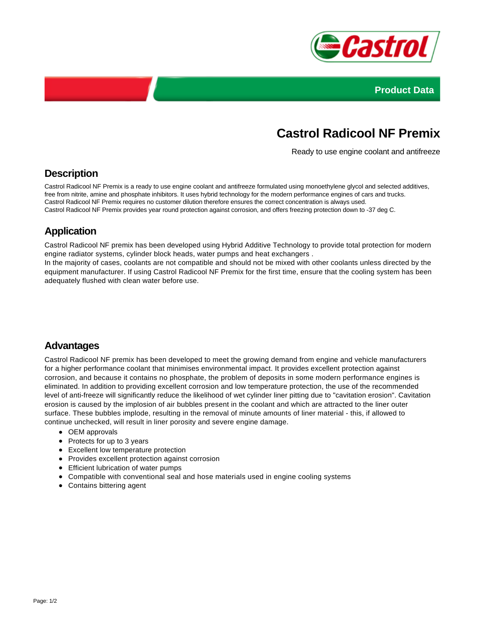



# **Castrol Radicool NF Premix**

Ready to use engine coolant and antifreeze

## **Description**

Castrol Radicool NF Premix is a ready to use engine coolant and antifreeze formulated using monoethylene glycol and selected additives, free from nitrite, amine and phosphate inhibitors. It uses hybrid technology for the modern performance engines of cars and trucks. Castrol Radicool NF Premix requires no customer dilution therefore ensures the correct concentration is always used. Castrol Radicool NF Premix provides year round protection against corrosion, and offers freezing protection down to -37 deg C.

## **Application**

Castrol Radicool NF premix has been developed using Hybrid Additive Technology to provide total protection for modern engine radiator systems, cylinder block heads, water pumps and heat exchangers .

In the majority of cases, coolants are not compatible and should not be mixed with other coolants unless directed by the equipment manufacturer. If using Castrol Radicool NF Premix for the first time, ensure that the cooling system has been adequately flushed with clean water before use.

#### **Advantages**

Castrol Radicool NF premix has been developed to meet the growing demand from engine and vehicle manufacturers for a higher performance coolant that minimises environmental impact. It provides excellent protection against corrosion, and because it contains no phosphate, the problem of deposits in some modern performance engines is eliminated. In addition to providing excellent corrosion and low temperature protection, the use of the recommended level of anti-freeze will significantly reduce the likelihood of wet cylinder liner pitting due to "cavitation erosion". Cavitation erosion is caused by the implosion of air bubbles present in the coolant and which are attracted to the liner outer surface. These bubbles implode, resulting in the removal of minute amounts of liner material - this, if allowed to continue unchecked, will result in liner porosity and severe engine damage.

- OEM approvals
- Protects for up to 3 years
- Excellent low temperature protection
- Provides excellent protection against corrosion
- Efficient lubrication of water pumps
- Compatible with conventional seal and hose materials used in engine cooling systems
- Contains bittering agent